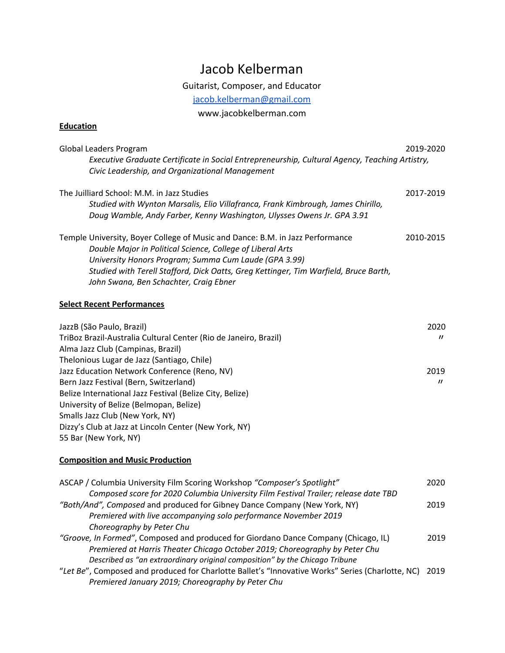# Jacob Kelberman

Guitarist, Composer, and Educator

[jacob.kelberman@gmail.com](mailto:jacob.kelberman@gmail.com)

www.jacobkelberman.com

### **Education**

| Global Leaders Program                                                                         | 2019-2020 |
|------------------------------------------------------------------------------------------------|-----------|
| Executive Graduate Certificate in Social Entrepreneurship, Cultural Agency, Teaching Artistry, |           |
| Civic Leadership, and Organizational Management                                                |           |
| The Juilliard School: M.M. in Jazz Studies                                                     | 2017-2019 |
| Studied with Wynton Marsalis, Elio Villafranca, Frank Kimbrough, James Chirillo,               |           |
| Doug Wamble, Andy Farber, Kenny Washington, Ulysses Owens Jr. GPA 3.91                         |           |
| Temple University, Boyer College of Music and Dance: B.M. in Jazz Performance                  | 2010-2015 |
| Double Major in Political Science, College of Liberal Arts                                     |           |
| University Honors Program; Summa Cum Laude (GPA 3.99)                                          |           |
| Studied with Terell Stafford, Dick Oatts, Greg Kettinger, Tim Warfield, Bruce Barth,           |           |
| John Swana, Ben Schachter, Craig Ebner                                                         |           |

#### **Select Recent Performances**

| JazzB (São Paulo, Brazil)                                        | 2020              |
|------------------------------------------------------------------|-------------------|
| TriBoz Brazil-Australia Cultural Center (Rio de Janeiro, Brazil) | $^{\prime\prime}$ |
| Alma Jazz Club (Campinas, Brazil)                                |                   |
| Thelonious Lugar de Jazz (Santiago, Chile)                       |                   |
| Jazz Education Network Conference (Reno, NV)                     | 2019              |
| Bern Jazz Festival (Bern, Switzerland)                           | $^{\prime\prime}$ |
| Belize International Jazz Festival (Belize City, Belize)         |                   |
| University of Belize (Belmopan, Belize)                          |                   |
| Smalls Jazz Club (New York, NY)                                  |                   |
| Dizzy's Club at Jazz at Lincoln Center (New York, NY)            |                   |
| 55 Bar (New York, NY)                                            |                   |

#### **Composition and Music Production**

| ASCAP / Columbia University Film Scoring Workshop "Composer's Spotlight"                              | 2020 |
|-------------------------------------------------------------------------------------------------------|------|
| Composed score for 2020 Columbia University Film Festival Trailer; release date TBD                   |      |
| "Both/And", Composed and produced for Gibney Dance Company (New York, NY)                             | 2019 |
| Premiered with live accompanying solo performance November 2019                                       |      |
| Choreography by Peter Chu                                                                             |      |
| "Groove, In Formed", Composed and produced for Giordano Dance Company (Chicago, IL)                   | 2019 |
| Premiered at Harris Theater Chicago October 2019; Choreography by Peter Chu                           |      |
| Described as "an extraordinary original composition" by the Chicago Tribune                           |      |
| "Let Be", Composed and produced for Charlotte Ballet's "Innovative Works" Series (Charlotte, NC) 2019 |      |
| Premiered January 2019; Choreography by Peter Chu                                                     |      |
|                                                                                                       |      |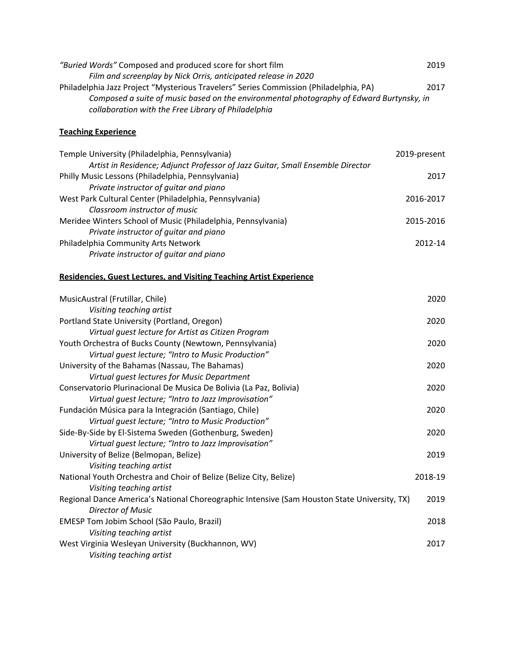| "Buried Words" Composed and produced score for short film                                | 2019 |
|------------------------------------------------------------------------------------------|------|
| Film and screenplay by Nick Orris, anticipated release in 2020                           |      |
| Philadelphia Jazz Project "Mysterious Travelers" Series Commission (Philadelphia, PA)    | 2017 |
| Composed a suite of music based on the environmental photography of Edward Burtynsky, in |      |
| collaboration with the Free Library of Philadelphia                                      |      |

## **Teaching Experience**

| Temple University (Philadelphia, Pennsylvania)                                 | 2019-present |
|--------------------------------------------------------------------------------|--------------|
| Artist in Residence; Adjunct Professor of Jazz Guitar, Small Ensemble Director |              |
| Philly Music Lessons (Philadelphia, Pennsylvania)                              | 2017         |
| Private instructor of guitar and piano                                         |              |
| West Park Cultural Center (Philadelphia, Pennsylvania)                         | 2016-2017    |
| Classroom instructor of music                                                  |              |
| Meridee Winters School of Music (Philadelphia, Pennsylvania)                   | 2015-2016    |
| Private instructor of guitar and piano                                         |              |
| Philadelphia Community Arts Network                                            | 2012-14      |
| Private instructor of guitar and piano                                         |              |

#### **Residencies, Guest Lectures, and Visiting Teaching Artist Experience**

| MusicAustral (Frutillar, Chile)                                                              | 2020    |
|----------------------------------------------------------------------------------------------|---------|
| Visiting teaching artist                                                                     |         |
| Portland State University (Portland, Oregon)                                                 | 2020    |
| Virtual quest lecture for Artist as Citizen Program                                          |         |
| Youth Orchestra of Bucks County (Newtown, Pennsylvania)                                      | 2020    |
| Virtual guest lecture; "Intro to Music Production"                                           |         |
| University of the Bahamas (Nassau, The Bahamas)                                              | 2020    |
| Virtual guest lectures for Music Department                                                  |         |
| Conservatorio Plurinacional De Musica De Bolivia (La Paz, Bolivia)                           | 2020    |
| Virtual guest lecture; "Intro to Jazz Improvisation"                                         |         |
| Fundación Música para la Integración (Santiago, Chile)                                       | 2020    |
| Virtual quest lecture; "Intro to Music Production"                                           |         |
| Side-By-Side by El-Sistema Sweden (Gothenburg, Sweden)                                       | 2020    |
| Virtual guest lecture; "Intro to Jazz Improvisation"                                         |         |
| University of Belize (Belmopan, Belize)                                                      | 2019    |
| Visiting teaching artist                                                                     |         |
| National Youth Orchestra and Choir of Belize (Belize City, Belize)                           | 2018-19 |
| Visiting teaching artist                                                                     |         |
| Regional Dance America's National Choreographic Intensive (Sam Houston State University, TX) | 2019    |
| Director of Music                                                                            |         |
| EMESP Tom Jobim School (São Paulo, Brazil)                                                   | 2018    |
| Visiting teaching artist                                                                     |         |
| West Virginia Wesleyan University (Buckhannon, WV)                                           | 2017    |
| Visiting teaching artist                                                                     |         |
|                                                                                              |         |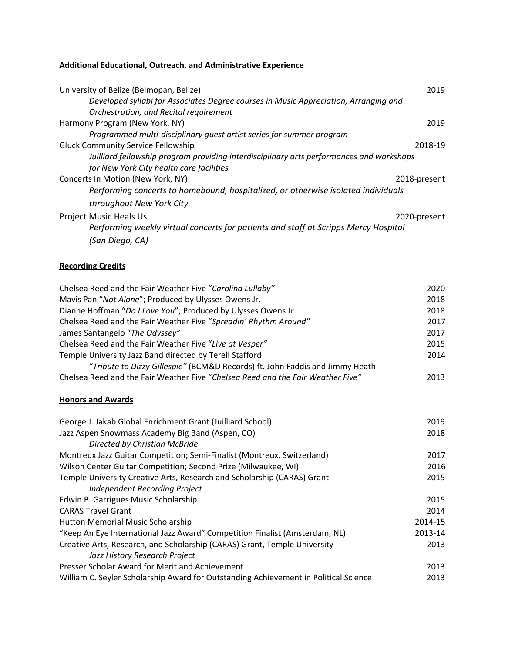## **Additional Educational, Outreach, and Administrative Experience**

| University of Belize (Belmopan, Belize)                                                  | 2019    |
|------------------------------------------------------------------------------------------|---------|
| Developed syllabi for Associates Degree courses in Music Appreciation, Arranging and     |         |
| Orchestration, and Recital requirement                                                   |         |
| Harmony Program (New York, NY)                                                           | 2019    |
| Programmed multi-disciplinary quest artist series for summer program                     |         |
| <b>Gluck Community Service Fellowship</b>                                                | 2018-19 |
| Juilliard fellowship program providing interdisciplinary arts performances and workshops |         |
| for New York City health care facilities                                                 |         |
| Concerts In Motion (New York, NY)<br>2018-present                                        |         |
| Performing concerts to homebound, hospitalized, or otherwise isolated individuals        |         |
| throughout New York City.                                                                |         |
| <b>Project Music Heals Us</b><br>2020-present                                            |         |
| Performing weekly virtual concerts for patients and staff at Scripps Mercy Hospital      |         |
| (San Diego, CA)                                                                          |         |

## **Recording Credits**

| Chelsea Reed and the Fair Weather Five "Carolina Lullaby"                       | 2020 |
|---------------------------------------------------------------------------------|------|
| Mavis Pan "Not Alone"; Produced by Ulysses Owens Jr.                            | 2018 |
| Dianne Hoffman "Do I Love You"; Produced by Ulysses Owens Jr.                   | 2018 |
| Chelsea Reed and the Fair Weather Five "Spreadin' Rhythm Around"                | 2017 |
| James Santangelo "The Odyssey"                                                  | 2017 |
| Chelsea Reed and the Fair Weather Five "Live at Vesper"                         | 2015 |
| Temple University Jazz Band directed by Terell Stafford                         | 2014 |
| "Tribute to Dizzy Gillespie" (BCM&D Records) ft. John Faddis and Jimmy Heath    |      |
| Chelsea Reed and the Fair Weather Five "Chelsea Reed and the Fair Weather Five" | 2013 |

#### **Honors and Awards**

| George J. Jakab Global Enrichment Grant (Juilliard School)                           | 2019    |
|--------------------------------------------------------------------------------------|---------|
| Jazz Aspen Snowmass Academy Big Band (Aspen, CO)                                     | 2018    |
| Directed by Christian McBride                                                        |         |
| Montreux Jazz Guitar Competition; Semi-Finalist (Montreux, Switzerland)              | 2017    |
| Wilson Center Guitar Competition; Second Prize (Milwaukee, WI)                       | 2016    |
| Temple University Creative Arts, Research and Scholarship (CARAS) Grant              | 2015    |
| Independent Recording Project                                                        |         |
| Edwin B. Garrigues Music Scholarship                                                 | 2015    |
| <b>CARAS Travel Grant</b>                                                            | 2014    |
| Hutton Memorial Music Scholarship                                                    | 2014-15 |
| "Keep An Eye International Jazz Award" Competition Finalist (Amsterdam, NL)          | 2013-14 |
| Creative Arts, Research, and Scholarship (CARAS) Grant, Temple University            | 2013    |
| Jazz History Research Project                                                        |         |
| Presser Scholar Award for Merit and Achievement                                      | 2013    |
| William C. Seyler Scholarship Award for Outstanding Achievement in Political Science | 2013    |